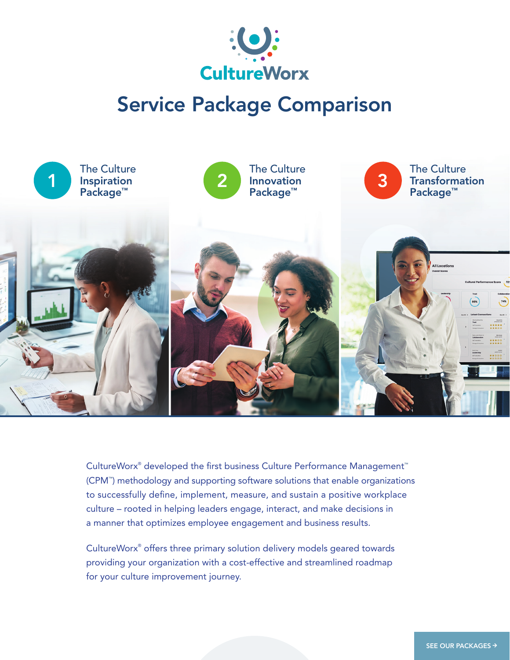

# Service Package Comparison



CultureWorx® developed the first business Culture Performance Management™ (CPM™ ) methodology and supporting software solutions that enable organizations to successfully define, implement, measure, and sustain a positive workplace culture – rooted in helping leaders engage, interact, and make decisions in a manner that optimizes employee engagement and business results.

CultureWorx® offers three primary solution delivery models geared towards providing your organization with a cost-effective and streamlined roadmap for your culture improvement journey.